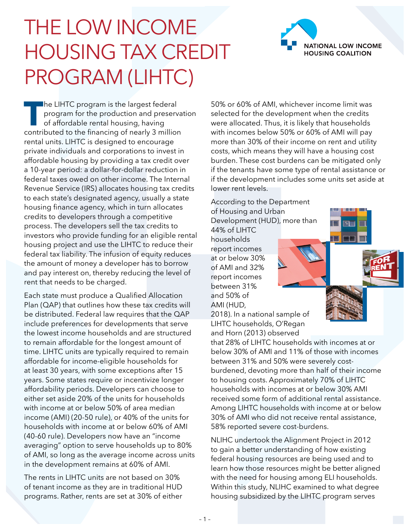## THE LOW INCOME HOUSING TAX CREDIT PROGRAM (LIHTC)

**The LIHTC program is the largest federal program for the production and preserva** of affordable rental housing, having contributed to the financing of nearly 3 million program for the production and preservation of affordable rental housing, having rental units. LIHTC is designed to encourage private individuals and corporations to invest in affordable housing by providing a tax credit over a 10-year period: a dollar-for-dollar reduction in federal taxes owed on other income. The Internal Revenue Service (IRS) allocates housing tax credits to each state's designated agency, usually a state housing finance agency, which in turn allocates credits to developers through a competitive process. The developers sell the tax credits to investors who provide funding for an eligible rental housing project and use the LIHTC to reduce their federal tax liability. The infusion of equity reduces the amount of money a developer has to borrow and pay interest on, thereby reducing the level of rent that needs to be charged.

Each state must produce a Qualified Allocation Plan (QAP) that outlines how these tax credits will be distributed. Federal law requires that the QAP include preferences for developments that serve the lowest income households and are structured to remain affordable for the longest amount of time. LIHTC units are typically required to remain affordable for income-eligible households for at least 30 years, with some exceptions after 15 years. Some states require or incentivize longer affordability periods. Developers can choose to either set aside 20% of the units for households with income at or below 50% of area median income (AMI) (20-50 rule), or 40% of the units for households with income at or below 60% of AMI (40-60 rule). Developers now have an "income averaging" option to serve households up to 80% of AMI, so long as the average income across units in the development remains at 60% of AMI.

The rents in LIHTC units are not based on 30% of tenant income as they are in traditional HUD programs. Rather, rents are set at 30% of either 50% or 60% of AMI, whichever income limit was selected for the development when the credits were allocated. Thus, it is likely that households with incomes below 50% or 60% of AMI will pay more than 30% of their income on rent and utility costs, which means they will have a housing cost burden. These cost burdens can be mitigated only if the tenants have some type of rental assistance or if the development includes some units set aside at lower rent levels.

According to the Department of Housing and Urban Development (HUD), more than

44% of LIHTC households report incomes at or below 30% of AMI and 32% report incomes between 31% and 50% of AMI (HUD,



**NATIONAL LOW INCOME HOUSING COALITION** 



2018). In a national sample of LIHTC households, O'Regan and Horn (2013) observed

that 28% of LIHTC households with incomes at or below 30% of AMI and 11% of those with incomes between 31% and 50% were severely costburdened, devoting more than half of their income to housing costs. Approximately 70% of LIHTC households with incomes at or below 30% AMI received some form of additional rental assistance. Among LIHTC households with income at or below 30% of AMI who did not receive rental assistance, 58% reported severe cost-burdens.

NLIHC undertook the Alignment Project in 2012 to gain a better understanding of how existing federal housing resources are being used and to learn how those resources might be better aligned with the need for housing among ELI households. Within this study, NLIHC examined to what degree housing subsidized by the LIHTC program serves